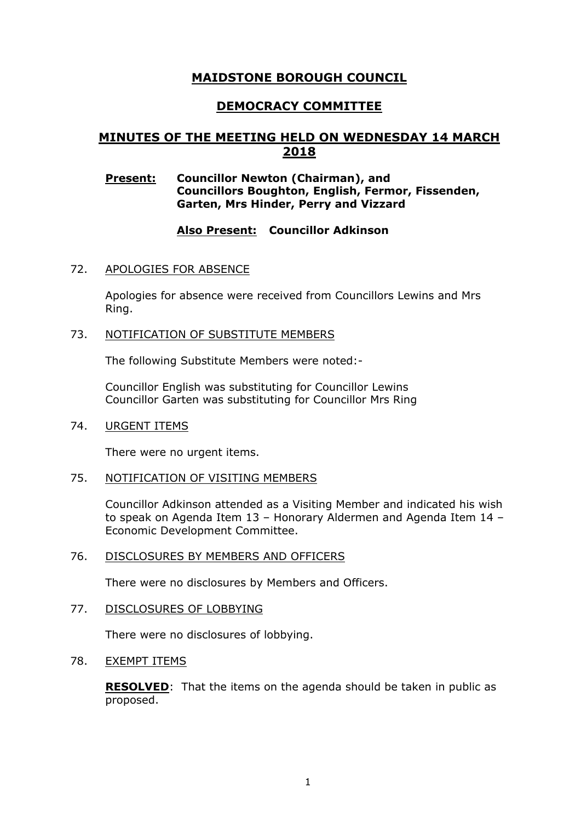# **MAIDSTONE BOROUGH COUNCIL**

# **DEMOCRACY COMMITTEE**

# **MINUTES OF THE MEETING HELD ON WEDNESDAY 14 MARCH 2018**

### **Present: Councillor Newton (Chairman), and Councillors Boughton, English, Fermor, Fissenden, Garten, Mrs Hinder, Perry and Vizzard**

## **Also Present: Councillor Adkinson**

### 72. APOLOGIES FOR ABSENCE

Apologies for absence were received from Councillors Lewins and Mrs Ring.

### 73. NOTIFICATION OF SUBSTITUTE MEMBERS

The following Substitute Members were noted:-

Councillor English was substituting for Councillor Lewins Councillor Garten was substituting for Councillor Mrs Ring

#### 74. URGENT ITEMS

There were no urgent items.

#### 75. NOTIFICATION OF VISITING MEMBERS

Councillor Adkinson attended as a Visiting Member and indicated his wish to speak on Agenda Item 13 – Honorary Aldermen and Agenda Item 14 – Economic Development Committee.

#### 76. DISCLOSURES BY MEMBERS AND OFFICERS

There were no disclosures by Members and Officers.

#### 77. DISCLOSURES OF LOBBYING

There were no disclosures of lobbying.

#### 78. EXEMPT ITEMS

**RESOLVED**: That the items on the agenda should be taken in public as proposed.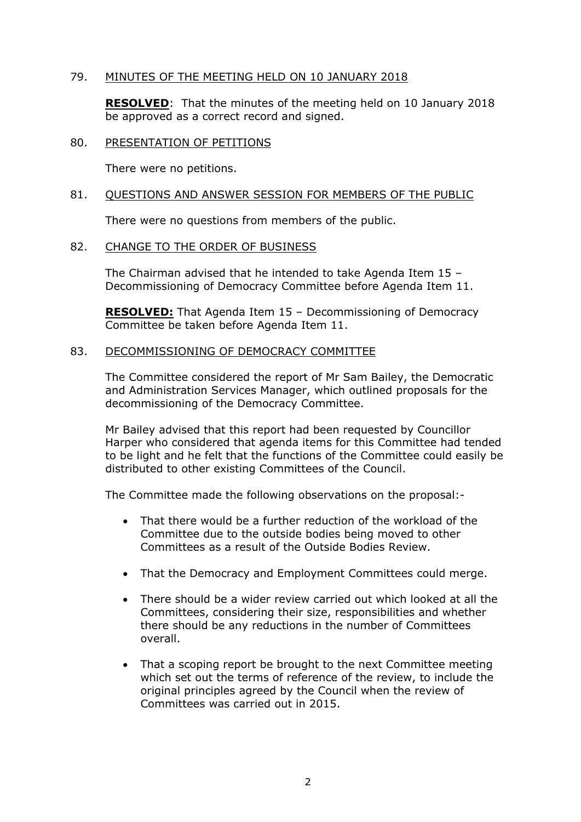### 79. MINUTES OF THE MEETING HELD ON 10 JANUARY 2018

**RESOLVED**: That the minutes of the meeting held on 10 January 2018 be approved as a correct record and signed.

#### 80. PRESENTATION OF PETITIONS

There were no petitions.

#### 81. QUESTIONS AND ANSWER SESSION FOR MEMBERS OF THE PUBLIC

There were no questions from members of the public.

#### 82. CHANGE TO THE ORDER OF BUSINESS

The Chairman advised that he intended to take Agenda Item 15 – Decommissioning of Democracy Committee before Agenda Item 11.

**RESOLVED:** That Agenda Item 15 – Decommissioning of Democracy Committee be taken before Agenda Item 11.

#### 83. DECOMMISSIONING OF DEMOCRACY COMMITTEE

The Committee considered the report of Mr Sam Bailey, the Democratic and Administration Services Manager, which outlined proposals for the decommissioning of the Democracy Committee.

Mr Bailey advised that this report had been requested by Councillor Harper who considered that agenda items for this Committee had tended to be light and he felt that the functions of the Committee could easily be distributed to other existing Committees of the Council.

The Committee made the following observations on the proposal:-

- That there would be a further reduction of the workload of the Committee due to the outside bodies being moved to other Committees as a result of the Outside Bodies Review.
- That the Democracy and Employment Committees could merge.
- There should be a wider review carried out which looked at all the Committees, considering their size, responsibilities and whether there should be any reductions in the number of Committees overall.
- That a scoping report be brought to the next Committee meeting which set out the terms of reference of the review, to include the original principles agreed by the Council when the review of Committees was carried out in 2015.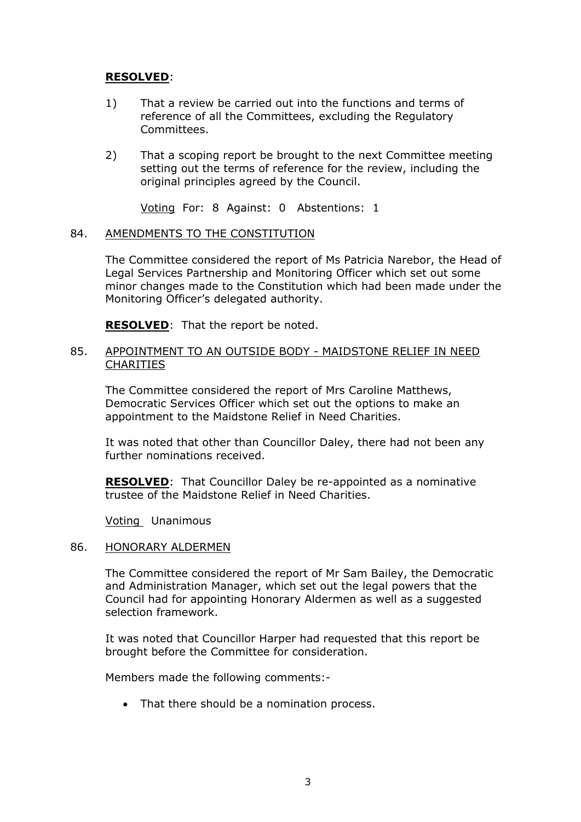## **RESOLVED**:

- 1) That a review be carried out into the functions and terms of reference of all the Committees, excluding the Regulatory Committees.
- 2) That a scoping report be brought to the next Committee meeting setting out the terms of reference for the review, including the original principles agreed by the Council.

Voting For: 8 Against: 0 Abstentions: 1

#### 84. AMENDMENTS TO THE CONSTITUTION

The Committee considered the report of Ms Patricia Narebor, the Head of Legal Services Partnership and Monitoring Officer which set out some minor changes made to the Constitution which had been made under the Monitoring Officer's delegated authority.

**RESOLVED:** That the report be noted.

### 85. APPOINTMENT TO AN OUTSIDE BODY - MAIDSTONE RELIEF IN NEED **CHARITIES**

The Committee considered the report of Mrs Caroline Matthews, Democratic Services Officer which set out the options to make an appointment to the Maidstone Relief in Need Charities.

It was noted that other than Councillor Daley, there had not been any further nominations received.

**RESOLVED**: That Councillor Daley be re-appointed as a nominative trustee of the Maidstone Relief in Need Charities.

Voting Unanimous

#### 86. HONORARY ALDERMEN

The Committee considered the report of Mr Sam Bailey, the Democratic and Administration Manager, which set out the legal powers that the Council had for appointing Honorary Aldermen as well as a suggested selection framework.

It was noted that Councillor Harper had requested that this report be brought before the Committee for consideration.

Members made the following comments:-

• That there should be a nomination process.